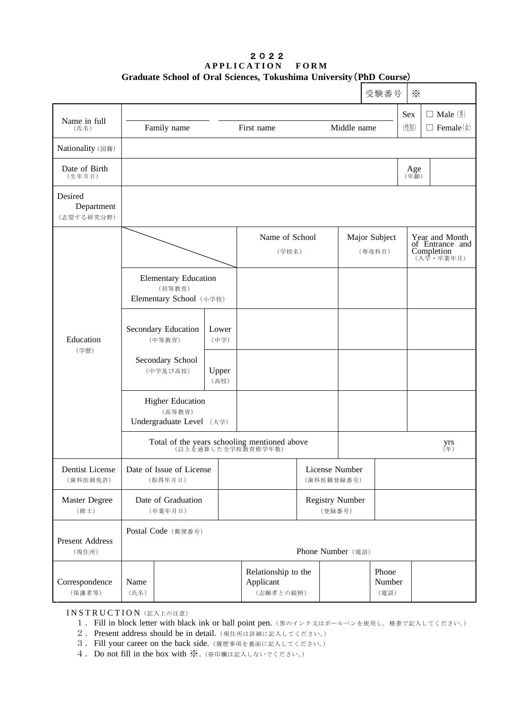## 2022 **APPLICATION FORM Graduate School of Oral Sciences, Tokushima University**(**PhD Course**)

|                                     |                                                                    |                                               |                         |                         |                                  | 受験番号                    | $\times$    |                                                              |
|-------------------------------------|--------------------------------------------------------------------|-----------------------------------------------|-------------------------|-------------------------|----------------------------------|-------------------------|-------------|--------------------------------------------------------------|
| Name in full                        |                                                                    |                                               |                         |                         |                                  |                         | Sex         | $\Box$ Male $(\frac{\pi}{2})$                                |
| (氏名)                                | Family name                                                        |                                               | First name              |                         | Middle name                      |                         | (性別)        | $\Box$ Female( $\sharp$ )                                    |
| Nationality (国籍)                    |                                                                    |                                               |                         |                         |                                  |                         |             |                                                              |
| Date of Birth<br>(生年月日)             |                                                                    |                                               |                         |                         |                                  |                         | Age<br>(年齢) |                                                              |
| Desired<br>Department<br>(志望する研究分野) |                                                                    |                                               |                         |                         |                                  |                         |             |                                                              |
|                                     |                                                                    |                                               | Name of School<br>(学校名) |                         |                                  | Major Subject<br>(専攻科目) |             | Year and Month<br>of Entrance and<br>Completion<br>(入学·卒業年月) |
| Education<br>(学歴)                   | <b>Elementary Education</b><br>(初等教育)<br>Elementary School (小学校)   |                                               |                         |                         |                                  |                         |             |                                                              |
|                                     | Secondary Education<br>Lower<br>(中等教育)<br>(中学)                     |                                               |                         |                         |                                  |                         |             |                                                              |
|                                     | Secondary School<br>(中学及び高校)                                       | Upper<br>(高校)                                 |                         |                         |                                  |                         |             |                                                              |
|                                     | <b>Higher Education</b><br>(高等教育)<br>Undergraduate Level (大学)      |                                               |                         |                         |                                  |                         |             |                                                              |
|                                     | Total of the years schooling mentioned above<br>(以上を通算した全学校教育修学年数) |                                               |                         |                         |                                  |                         |             | yrs<br>$E(\mp)$                                              |
| Dentist License<br>(歯科医師免許)         | Date of Issue of License<br>(取得年月日)                                |                                               |                         |                         | License Number<br>(歯科医籍登録番号)     |                         |             |                                                              |
| Master Degree<br>(修士)               | Date of Graduation<br>(卒業年月日)                                      |                                               |                         |                         | <b>Registry Number</b><br>(登録番号) |                         |             |                                                              |
| Present Address<br>(現住所)            | Postal Code (郵便番号)<br>Phone Number (電話)                            |                                               |                         |                         |                                  |                         |             |                                                              |
| Correspondence<br>(保護者等)            | Name<br>(氏名)                                                       | Relationship to the<br>Applicant<br>(志願者との続柄) |                         | Phone<br>Number<br>(電話) |                                  |                         |             |                                                              |

INSTRUCTION (記入上の注意)

- 1. Fill in block letter with black ink or ball point pen. (黒のインク又はボールペンを使用し, 楷書で記入してください。)
- 2. Present address should be in detail. (現住所は詳細に記入してください。)
- 3.Fill your career on the back side.(履歴事項を裏面に記入してください。)
- 4.Do not fill in the box with ※.(※印欄は記入しないでください。)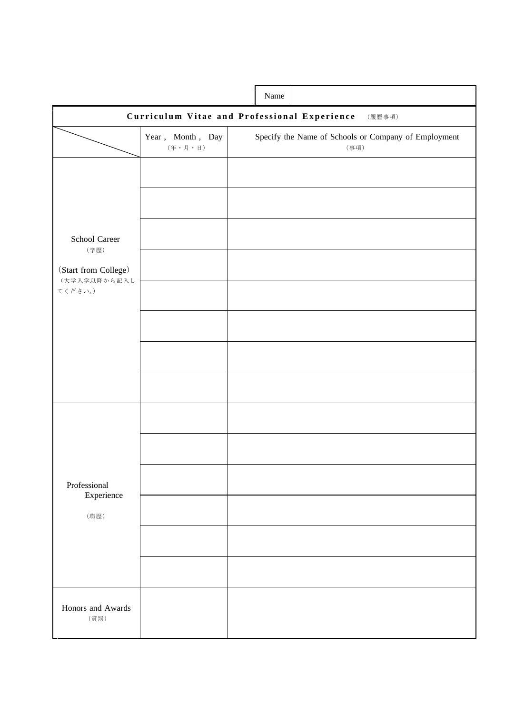|                                                        |                                                              | Name |                                                              |  |  |
|--------------------------------------------------------|--------------------------------------------------------------|------|--------------------------------------------------------------|--|--|
| Curriculum Vitae and Professional Experience<br>(履歴事項) |                                                              |      |                                                              |  |  |
|                                                        | Year, Month, Day<br>$(4\hat{F} \cdot \hat{F}) \cdot \hat{F}$ |      | Specify the Name of Schools or Company of Employment<br>(事項) |  |  |
|                                                        |                                                              |      |                                                              |  |  |
|                                                        |                                                              |      |                                                              |  |  |
| School Career<br>(学歴)                                  |                                                              |      |                                                              |  |  |
| (Start from College)<br>(大学入学以降から記入し                   |                                                              |      |                                                              |  |  |
| てください。)                                                |                                                              |      |                                                              |  |  |
|                                                        |                                                              |      |                                                              |  |  |
|                                                        |                                                              |      |                                                              |  |  |
|                                                        |                                                              |      |                                                              |  |  |
|                                                        |                                                              |      |                                                              |  |  |
|                                                        |                                                              |      |                                                              |  |  |
| Professional<br>Experience                             |                                                              |      |                                                              |  |  |
| (職歴)                                                   |                                                              |      |                                                              |  |  |
|                                                        |                                                              |      |                                                              |  |  |
|                                                        |                                                              |      |                                                              |  |  |
| Honors and Awards<br>(賞罰)                              |                                                              |      |                                                              |  |  |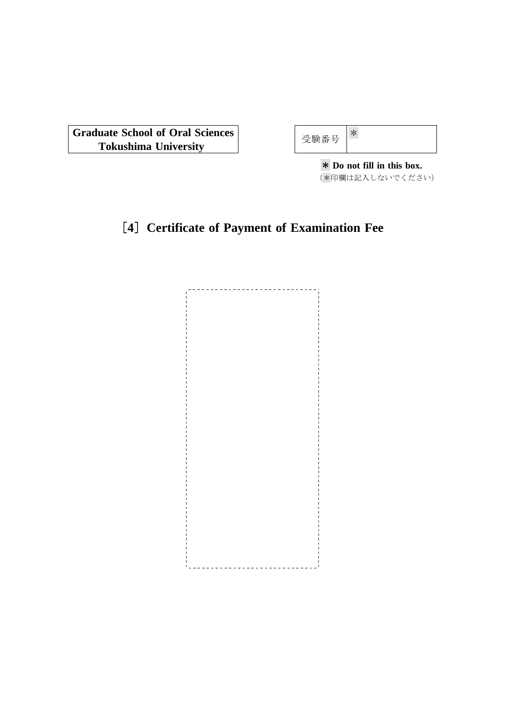**Graduate School of Oral Sciences** Tokushima University **Department of Substitute Tokushima** University

| 験番 |
|----|
|----|

\* **Do not fill in this box.** (\*印欄は記入しないでください)

## [**4**] **Certificate of Payment of Examination Fee**

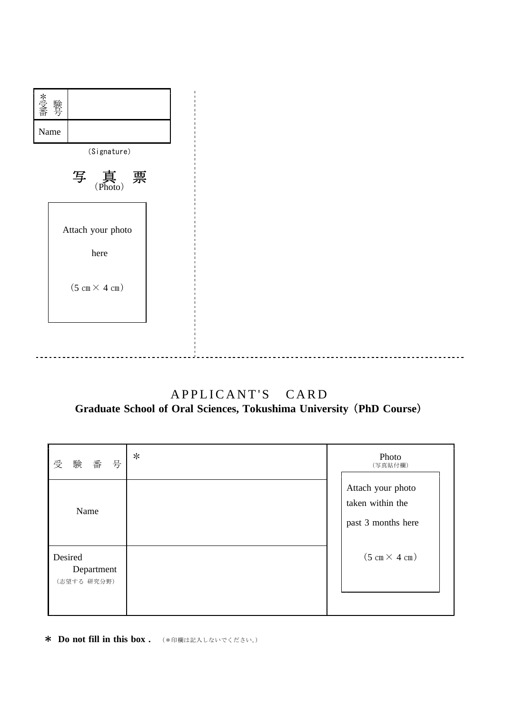

## APPLICANT'S CARD **Graduate School of Oral Sciences, Tokushima University** (**PhD Course**)

| 号<br>受<br>験<br>番                     | $\ast$ | Photo<br>(写真貼付欄)                                            |
|--------------------------------------|--------|-------------------------------------------------------------|
| Name                                 |        | Attach your photo<br>taken within the<br>past 3 months here |
| Desired<br>Department<br>(志望する 研究分野) |        | $(5 \text{ cm} \times 4 \text{ cm})$                        |

**\* Do not fill in this box .** (\*印欄は記入しないでください。)